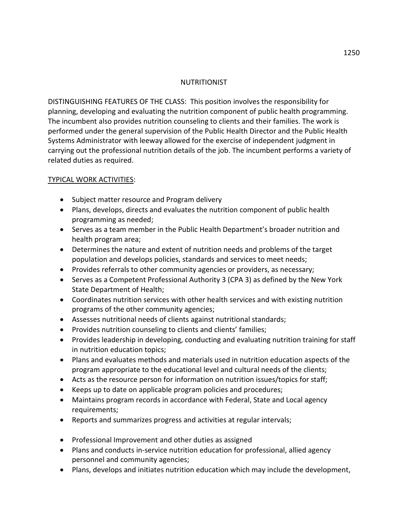## NUTRITIONIST

DISTINGUISHING FEATURES OF THE CLASS: This position involves the responsibility for planning, developing and evaluating the nutrition component of public health programming. The incumbent also provides nutrition counseling to clients and their families. The work is performed under the general supervision of the Public Health Director and the Public Health Systems Administrator with leeway allowed for the exercise of independent judgment in carrying out the professional nutrition details of the job. The incumbent performs a variety of related duties as required.

## TYPICAL WORK ACTIVITIES:

- Subject matter resource and Program delivery
- Plans, develops, directs and evaluates the nutrition component of public health programming as needed;
- Serves as a team member in the Public Health Department's broader nutrition and health program area;
- Determines the nature and extent of nutrition needs and problems of the target population and develops policies, standards and services to meet needs;
- Provides referrals to other community agencies or providers, as necessary;
- Serves as a Competent Professional Authority 3 (CPA 3) as defined by the New York State Department of Health;
- Coordinates nutrition services with other health services and with existing nutrition programs of the other community agencies;
- Assesses nutritional needs of clients against nutritional standards;
- Provides nutrition counseling to clients and clients' families;
- Provides leadership in developing, conducting and evaluating nutrition training for staff in nutrition education topics;
- Plans and evaluates methods and materials used in nutrition education aspects of the program appropriate to the educational level and cultural needs of the clients;
- Acts as the resource person for information on nutrition issues/topics for staff;
- Keeps up to date on applicable program policies and procedures;
- Maintains program records in accordance with Federal, State and Local agency requirements;
- Reports and summarizes progress and activities at regular intervals;
- Professional Improvement and other duties as assigned
- Plans and conducts in-service nutrition education for professional, allied agency personnel and community agencies;
- Plans, develops and initiates nutrition education which may include the development,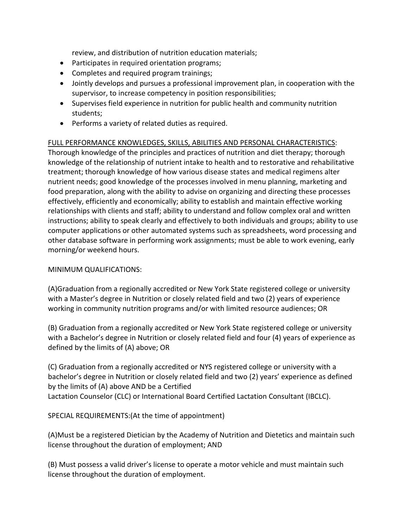review, and distribution of nutrition education materials;

- Participates in required orientation programs;
- Completes and required program trainings;
- Jointly develops and pursues a professional improvement plan, in cooperation with the supervisor, to increase competency in position responsibilities;
- Supervises field experience in nutrition for public health and community nutrition students;
- Performs a variety of related duties as required.

## FULL PERFORMANCE KNOWLEDGES, SKILLS, ABILITIES AND PERSONAL CHARACTERISTICS:

Thorough knowledge of the principles and practices of nutrition and diet therapy; thorough knowledge of the relationship of nutrient intake to health and to restorative and rehabilitative treatment; thorough knowledge of how various disease states and medical regimens alter nutrient needs; good knowledge of the processes involved in menu planning, marketing and food preparation, along with the ability to advise on organizing and directing these processes effectively, efficiently and economically; ability to establish and maintain effective working relationships with clients and staff; ability to understand and follow complex oral and written instructions; ability to speak clearly and effectively to both individuals and groups; ability to use computer applications or other automated systems such as spreadsheets, word processing and other database software in performing work assignments; must be able to work evening, early morning/or weekend hours.

## MINIMUM QUALIFICATIONS:

(A)Graduation from a regionally accredited or New York State registered college or university with a Master's degree in Nutrition or closely related field and two (2) years of experience working in community nutrition programs and/or with limited resource audiences; OR

(B) Graduation from a regionally accredited or New York State registered college or university with a Bachelor's degree in Nutrition or closely related field and four (4) years of experience as defined by the limits of (A) above; OR

(C) Graduation from a regionally accredited or NYS registered college or university with a bachelor's degree in Nutrition or closely related field and two (2) years' experience as defined by the limits of (A) above AND be a Certified Lactation Counselor (CLC) or International Board Certified Lactation Consultant (IBCLC).

SPECIAL REQUIREMENTS:(At the time of appointment)

(A)Must be a registered Dietician by the Academy of Nutrition and Dietetics and maintain such license throughout the duration of employment; AND

(B) Must possess a valid driver's license to operate a motor vehicle and must maintain such license throughout the duration of employment.